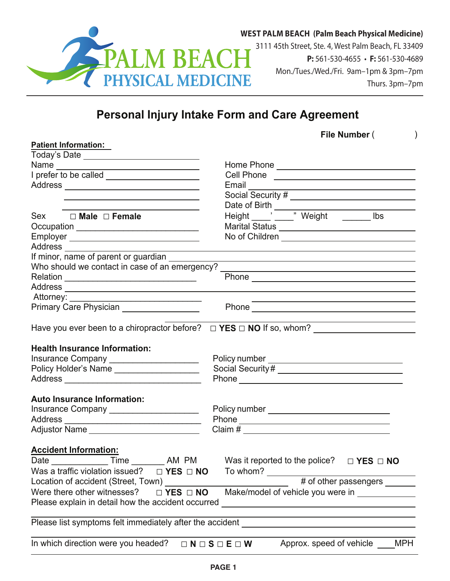

3111 45th Street, Ste. 4, West Palm Beach, FL 33409 **P:** 561-530-4655 • **F:** 561-530-4689 Mon./Tues./Wed./Fri. 9am–1pm & 3pm–7pm Thurs. 3pm–7pm

## **Personal Injury Intake Form and Care Agreement**

|  | File Number ( |  |
|--|---------------|--|
|--|---------------|--|

| <b>Patient Information:</b>                                                 |                                                                                                                                                                                                                               |  |  |  |
|-----------------------------------------------------------------------------|-------------------------------------------------------------------------------------------------------------------------------------------------------------------------------------------------------------------------------|--|--|--|
|                                                                             |                                                                                                                                                                                                                               |  |  |  |
|                                                                             |                                                                                                                                                                                                                               |  |  |  |
|                                                                             |                                                                                                                                                                                                                               |  |  |  |
|                                                                             | Email Contract Contract Contract Contract Contract Contract Contract Contract Contract Contract Contract Contract Contract Contract Contract Contract Contract Contract Contract Contract Contract Contract Contract Contract |  |  |  |
|                                                                             |                                                                                                                                                                                                                               |  |  |  |
|                                                                             |                                                                                                                                                                                                                               |  |  |  |
| <u> 1989 - Johann Barn, mars eta inperiodo</u><br>Sex □ Male □ Female       |                                                                                                                                                                                                                               |  |  |  |
|                                                                             |                                                                                                                                                                                                                               |  |  |  |
| Occupation _________________________________                                |                                                                                                                                                                                                                               |  |  |  |
|                                                                             |                                                                                                                                                                                                                               |  |  |  |
| If minor, name of parent or guardian ________                               |                                                                                                                                                                                                                               |  |  |  |
|                                                                             | and the control of the control of the control of the control of the control of the control of the control of the                                                                                                              |  |  |  |
|                                                                             | Who should we contact in case of an emergency? __________________________________                                                                                                                                             |  |  |  |
|                                                                             |                                                                                                                                                                                                                               |  |  |  |
|                                                                             |                                                                                                                                                                                                                               |  |  |  |
|                                                                             |                                                                                                                                                                                                                               |  |  |  |
| Primary Care Physician ____________________                                 |                                                                                                                                                                                                                               |  |  |  |
|                                                                             |                                                                                                                                                                                                                               |  |  |  |
| <b>Health Insurance Information:</b>                                        |                                                                                                                                                                                                                               |  |  |  |
| Insurance Company ______________________                                    |                                                                                                                                                                                                                               |  |  |  |
| Policy Holder's Name                                                        |                                                                                                                                                                                                                               |  |  |  |
|                                                                             |                                                                                                                                                                                                                               |  |  |  |
|                                                                             |                                                                                                                                                                                                                               |  |  |  |
| <b>Auto Insurance Information:</b>                                          |                                                                                                                                                                                                                               |  |  |  |
| Insurance Company ______________________                                    |                                                                                                                                                                                                                               |  |  |  |
|                                                                             |                                                                                                                                                                                                                               |  |  |  |
| Adjustor Name ______________________________                                |                                                                                                                                                                                                                               |  |  |  |
|                                                                             |                                                                                                                                                                                                                               |  |  |  |
| <b>Accident Information:</b>                                                |                                                                                                                                                                                                                               |  |  |  |
|                                                                             |                                                                                                                                                                                                                               |  |  |  |
| Was a traffic violation issued? $\Box$ <b>YES</b> $\Box$ <b>NO</b> To whom? |                                                                                                                                                                                                                               |  |  |  |
| Location of accident (Street, Town)                                         | # of other passengers _______                                                                                                                                                                                                 |  |  |  |
| Were there other witnesses?<br>$\Box$ YES $\Box$ NO                         | Make/model of vehicle you were in _____________                                                                                                                                                                               |  |  |  |
| Please explain in detail how the accident occurred                          |                                                                                                                                                                                                                               |  |  |  |
|                                                                             | Please list symptoms felt immediately after the accident                                                                                                                                                                      |  |  |  |
| In which direction were you headed?                                         | Approx. speed of vehicle<br><b>MPH</b><br>$\Box N \Box S \Box E \Box W$                                                                                                                                                       |  |  |  |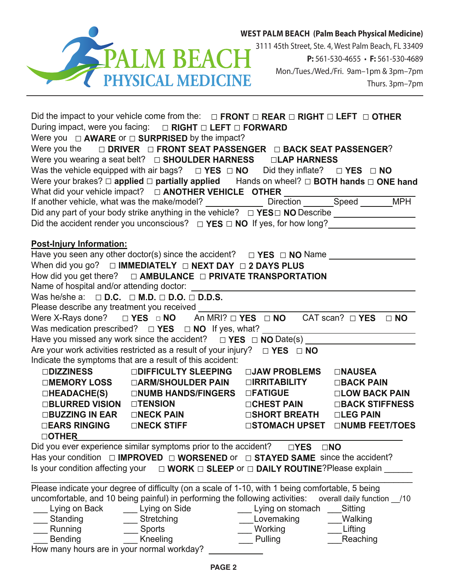

3111 45th Street, Ste. 4, West Palm Beach, FL 33409 **P:** 561-530-4655 • **F:** 561-530-4689 Mon./Tues./Wed./Fri. 9am–1pm & 3pm–7pm Thurs. 3pm–7pm

|                                 | Did the impact to your vehicle come from the: $\Box$ FRONT $\Box$ REAR $\Box$ RIGHT $\Box$ LEFT $\Box$ OTHER     |                             |                                       |
|---------------------------------|------------------------------------------------------------------------------------------------------------------|-----------------------------|---------------------------------------|
|                                 | During impact, were you facing: $\Box$ RIGHT $\Box$ LEFT $\Box$ FORWARD                                          |                             |                                       |
|                                 | Were you $\Box$ <b>AWARE</b> or $\Box$ <b>SURPRISED</b> by the impact?                                           |                             |                                       |
|                                 | Were you the $\Box$ DRIVER $\Box$ FRONT SEAT PASSENGER $\Box$ BACK SEAT PASSENGER?                               |                             |                                       |
|                                 |                                                                                                                  |                             |                                       |
|                                 | Was the vehicle equipped with air bags? $\Box$ YES $\Box$ NO Did they inflate? $\Box$ YES $\Box$ NO              |                             |                                       |
|                                 | Were your brakes? $\Box$ applied $\Box$ partially applied Hands on wheel? $\Box$ BOTH hands $\Box$ ONE hand      |                             |                                       |
|                                 |                                                                                                                  |                             |                                       |
|                                 |                                                                                                                  |                             |                                       |
|                                 |                                                                                                                  |                             |                                       |
|                                 | Did the accident render you unconscious? $\Box$ YES $\Box$ NO If yes, for how long?                              |                             |                                       |
|                                 |                                                                                                                  |                             |                                       |
| <b>Post-Injury Information:</b> |                                                                                                                  |                             |                                       |
|                                 | Have you seen any other doctor(s) since the accident? $\Box$ YES $\Box$ NO Name $\_\_\_\_\_\_\_\_\_\_\_\_\_\_\_$ |                             |                                       |
|                                 | When did you go? $\Box$ IMMEDIATELY $\Box$ NEXT DAY $\Box$ 2 DAYS PLUS                                           |                             |                                       |
|                                 | How did you get there? $\Box$ AMBULANCE $\Box$ PRIVATE TRANSPORTATION                                            |                             |                                       |
|                                 |                                                                                                                  |                             |                                       |
|                                 | Was he/she a: $\Box$ D.C. $\Box$ M.D. $\Box$ D.O. $\Box$ D.D.S.                                                  |                             |                                       |
|                                 | Please describe any treatment you received                                                                       |                             |                                       |
|                                 | Were X-Rays done? $\Box$ YES $\Box$ NO An MRI? $\Box$ YES $\Box$ NO CAT scan? $\Box$ YES $\Box$ NO               |                             |                                       |
|                                 |                                                                                                                  |                             |                                       |
|                                 |                                                                                                                  |                             |                                       |
|                                 | Are your work activities restricted as a result of your injury? $\Box$ YES $\Box$ NO                             |                             |                                       |
|                                 | Indicate the symptoms that are a result of this accident:                                                        |                             |                                       |
|                                 | □DIZZINESS □DIFFICULTY SLEEPING                                                                                  | □JAW PROBLEMS □NAUSEA       |                                       |
|                                 |                                                                                                                  |                             |                                       |
|                                 | □HEADACHE(S)   □NUMB HANDS/FINGERS □FATIGUE      □LOW BACK PAIN                                                  |                             |                                       |
|                                 |                                                                                                                  | □CHEST PAIN □BACK STIFFNESS |                                       |
|                                 |                                                                                                                  |                             |                                       |
|                                 | □EARS RINGING □NECK STIFF                                                                                        |                             | <b>□STOMACH UPSET □NUMB FEET/TOES</b> |
| <b>DOTHER</b>                   | Did you ever experience similar symptoms prior to the accident?                                                  |                             |                                       |
|                                 | Has your condition $\Box$ IMPROVED $\Box$ WORSENED or $\Box$ STAYED SAME since the accident?                     | $\Box$ YES                  | $\square$ NO                          |
|                                 |                                                                                                                  |                             |                                       |
|                                 | Is your condition affecting your $\Box$ WORK $\Box$ SLEEP or $\Box$ DAILY ROUTINE? Please explain                |                             |                                       |
|                                 | Please indicate your degree of difficulty (on a scale of 1-10, with 1 being comfortable, 5 being                 |                             |                                       |
|                                 | uncomfortable, and 10 being painful) in performing the following activities: overall daily function _/10         |                             |                                       |
| Lying on Back                   | Lying on Side                                                                                                    | Lying on stomach            | Sitting                               |
| Standing                        | Stretching                                                                                                       | Lovemaking                  | Walking                               |
| Running                         | Sports                                                                                                           | Working                     | Lifting                               |
| <b>Bending</b>                  | Kneeling                                                                                                         | Pulling                     | Reaching                              |

How many hours are in your normal workday?